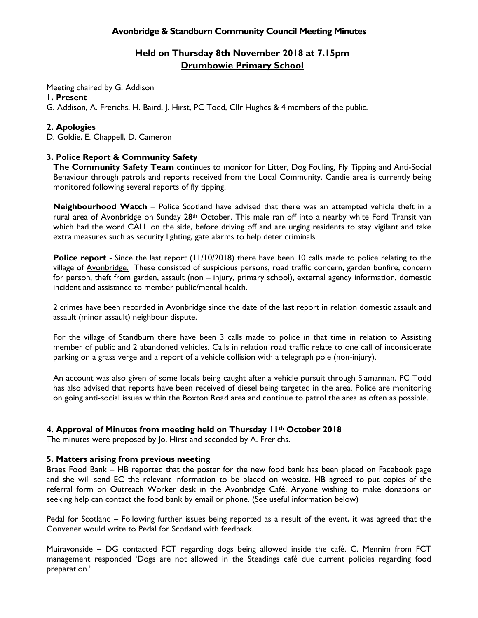### **Avonbridge & Standburn Community Council Meeting Minutes**

## **Held on Thursday 8th November 2018 at 7.15pm Drumbowie Primary School**

Meeting chaired by G. Addison

### **1. Present**

G. Addison, A. Frerichs, H. Baird, J. Hirst, PC Todd, Cllr Hughes & 4 members of the public.

### **2. Apologies**

D. Goldie, E. Chappell, D. Cameron

### **3. Police Report & Community Safety**

**The Community Safety Team** continues to monitor for Litter, Dog Fouling, Fly Tipping and Anti-Social Behaviour through patrols and reports received from the Local Community. Candie area is currently being monitored following several reports of fly tipping.

**Neighbourhood Watch** – Police Scotland have advised that there was an attempted vehicle theft in a rural area of Avonbridge on Sunday 28<sup>th</sup> October. This male ran off into a nearby white Ford Transit van which had the word CALL on the side, before driving off and are urging residents to stay vigilant and take extra measures such as security lighting, gate alarms to help deter criminals.

**Police report** - Since the last report (11/10/2018) there have been 10 calls made to police relating to the village of Avonbridge. These consisted of suspicious persons, road traffic concern, garden bonfire, concern for person, theft from garden, assault (non – injury, primary school), external agency information, domestic incident and assistance to member public/mental health.

2 crimes have been recorded in Avonbridge since the date of the last report in relation domestic assault and assault (minor assault) neighbour dispute.

For the village of Standburn there have been 3 calls made to police in that time in relation to Assisting member of public and 2 abandoned vehicles. Calls in relation road traffic relate to one call of inconsiderate parking on a grass verge and a report of a vehicle collision with a telegraph pole (non-injury).

An account was also given of some locals being caught after a vehicle pursuit through Slamannan. PC Todd has also advised that reports have been received of diesel being targeted in the area. Police are monitoring on going anti-social issues within the Boxton Road area and continue to patrol the area as often as possible.

### **4. Approval of Minutes from meeting held on Thursday 11th October 2018**

The minutes were proposed by Jo. Hirst and seconded by A. Frerichs.

### **5. Matters arising from previous meeting**

Braes Food Bank – HB reported that the poster for the new food bank has been placed on Facebook page and she will send EC the relevant information to be placed on website. HB agreed to put copies of the referral form on Outreach Worker desk in the Avonbridge Café. Anyone wishing to make donations or seeking help can contact the food bank by email or phone. (See useful information below)

Pedal for Scotland – Following further issues being reported as a result of the event, it was agreed that the Convener would write to Pedal for Scotland with feedback.

Muiravonside – DG contacted FCT regarding dogs being allowed inside the café. C. Mennim from FCT management responded 'Dogs are not allowed in the Steadings café due current policies regarding food preparation.'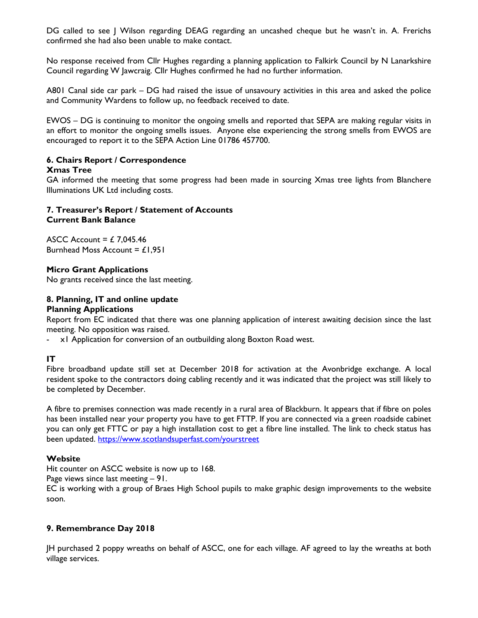DG called to see | Wilson regarding DEAG regarding an uncashed cheque but he wasn't in. A. Frerichs confirmed she had also been unable to make contact.

No response received from Cllr Hughes regarding a planning application to Falkirk Council by N Lanarkshire Council regarding W Jawcraig. Cllr Hughes confirmed he had no further information.

A801 Canal side car park – DG had raised the issue of unsavoury activities in this area and asked the police and Community Wardens to follow up, no feedback received to date.

EWOS – DG is continuing to monitor the ongoing smells and reported that SEPA are making regular visits in an effort to monitor the ongoing smells issues. Anyone else experiencing the strong smells from EWOS are encouraged to report it to the SEPA Action Line 01786 457700.

### **6. Chairs Report / Correspondence**

#### **Xmas Tree**

GA informed the meeting that some progress had been made in sourcing Xmas tree lights from Blanchere Illuminations UK Ltd including costs.

### **7. Treasurer's Report / Statement of Accounts Current Bank Balance**

ASCC Account =  $£ 7,045.46$ Burnhead Moss Account =  $£1,951$ 

### **Micro Grant Applications**

No grants received since the last meeting.

#### **8. Planning, IT and online update Planning Applications**

Report from EC indicated that there was one planning application of interest awaiting decision since the last meeting. No opposition was raised.

- x1 Application for conversion of an outbuilding along Boxton Road west.

### **IT**

Fibre broadband update still set at December 2018 for activation at the Avonbridge exchange. A local resident spoke to the contractors doing cabling recently and it was indicated that the project was still likely to be completed by December.

A fibre to premises connection was made recently in a rural area of Blackburn. It appears that if fibre on poles has been installed near your property you have to get FTTP. If you are connected via a green roadside cabinet you can only get FTTC or pay a high installation cost to get a fibre line installed. The link to check status has been updated.<https://www.scotlandsuperfast.com/yourstreet>

#### **Website**

Hit counter on ASCC website is now up to 168.

Page views since last meeting – 91.

EC is working with a group of Braes High School pupils to make graphic design improvements to the website soon.

#### **9. Remembrance Day 2018**

JH purchased 2 poppy wreaths on behalf of ASCC, one for each village. AF agreed to lay the wreaths at both village services.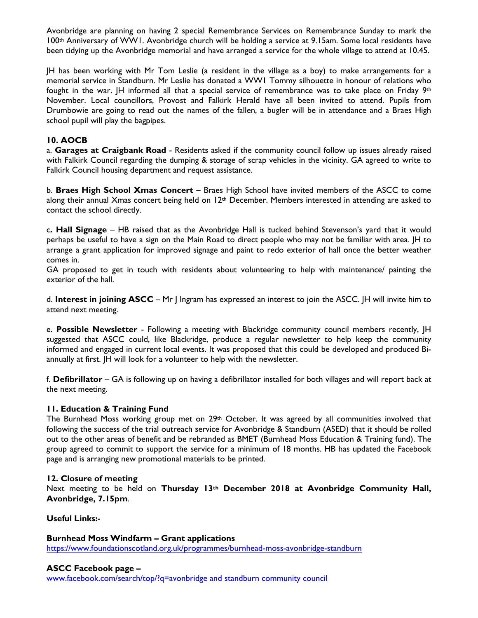Avonbridge are planning on having 2 special Remembrance Services on Remembrance Sunday to mark the 100th Anniversary of WW1. Avonbridge church will be holding a service at 9.15am. Some local residents have been tidying up the Avonbridge memorial and have arranged a service for the whole village to attend at 10.45.

JH has been working with Mr Tom Leslie (a resident in the village as a boy) to make arrangements for a memorial service in Standburn. Mr Leslie has donated a WW1 Tommy silhouette in honour of relations who fought in the war.  $|H$  informed all that a special service of remembrance was to take place on Friday  $9<sup>th</sup>$ November. Local councillors, Provost and Falkirk Herald have all been invited to attend. Pupils from Drumbowie are going to read out the names of the fallen, a bugler will be in attendance and a Braes High school pupil will play the bagpipes.

### **10. AOCB**

a. **Garages at Craigbank Road** - Residents asked if the community council follow up issues already raised with Falkirk Council regarding the dumping & storage of scrap vehicles in the vicinity. GA agreed to write to Falkirk Council housing department and request assistance.

b. **Braes High School Xmas Concert** – Braes High School have invited members of the ASCC to come along their annual Xmas concert being held on  $12<sup>th</sup>$  December. Members interested in attending are asked to contact the school directly.

c**. Hall Signage** – HB raised that as the Avonbridge Hall is tucked behind Stevenson's yard that it would perhaps be useful to have a sign on the Main Road to direct people who may not be familiar with area. JH to arrange a grant application for improved signage and paint to redo exterior of hall once the better weather comes in.

GA proposed to get in touch with residents about volunteering to help with maintenance/ painting the exterior of the hall.

d. **Interest in joining ASCC** – Mr J Ingram has expressed an interest to join the ASCC. JH will invite him to attend next meeting.

e. **Possible Newsletter** - Following a meeting with Blackridge community council members recently, JH suggested that ASCC could, like Blackridge, produce a regular newsletter to help keep the community informed and engaged in current local events. It was proposed that this could be developed and produced Biannually at first. JH will look for a volunteer to help with the newsletter.

f. **Defibrillator** – GA is following up on having a defibrillator installed for both villages and will report back at the next meeting.

#### **11. Education & Training Fund**

The Burnhead Moss working group met on 29<sup>th</sup> October. It was agreed by all communities involved that following the success of the trial outreach service for Avonbridge & Standburn (ASED) that it should be rolled out to the other areas of benefit and be rebranded as BMET (Burnhead Moss Education & Training fund). The group agreed to commit to support the service for a minimum of 18 months. HB has updated the Facebook page and is arranging new promotional materials to be printed.

#### **12. Closure of meeting**

Next meeting to be held on **Thursday 13th December 2018 at Avonbridge Community Hall, Avonbridge, 7.15pm**.

**Useful Links:-**

#### **Burnhead Moss Windfarm – Grant applications**

<https://www.foundationscotland.org.uk/programmes/burnhead-moss-avonbridge-standburn>

#### **ASCC Facebook page –**

www.facebook.com/search/top/?q=avonbridge and standburn community council